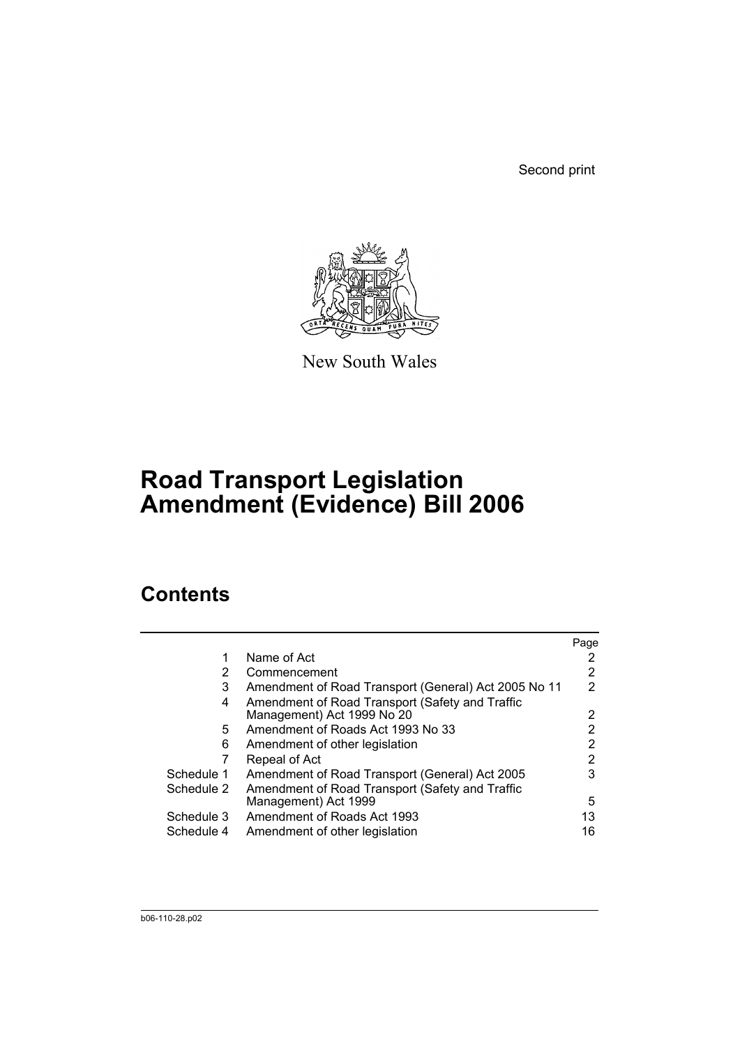Second print



New South Wales

# **Road Transport Legislation Amendment (Evidence) Bill 2006**

## **Contents**

|            |                                                      | Page |
|------------|------------------------------------------------------|------|
|            | Name of Act                                          |      |
| 2          | Commencement                                         |      |
| 3          | Amendment of Road Transport (General) Act 2005 No 11 | 2    |
| 4          | Amendment of Road Transport (Safety and Traffic      |      |
|            | Management) Act 1999 No 20                           | 2    |
| 5.         | Amendment of Roads Act 1993 No 33                    | 2    |
| 6          | Amendment of other legislation                       | 2    |
|            | Repeal of Act                                        |      |
| Schedule 1 | Amendment of Road Transport (General) Act 2005       | 3    |
| Schedule 2 | Amendment of Road Transport (Safety and Traffic      |      |
|            | Management) Act 1999                                 | 5    |
| Schedule 3 | Amendment of Roads Act 1993                          | 13   |
| Schedule 4 | Amendment of other legislation                       | 16   |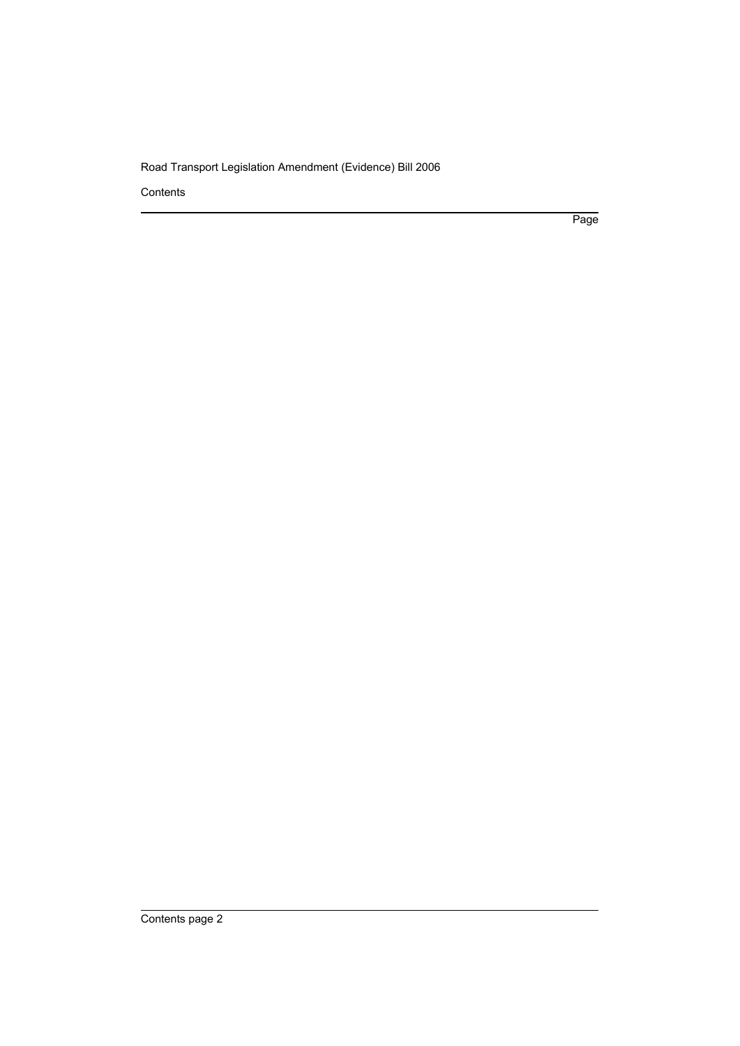Contents

Page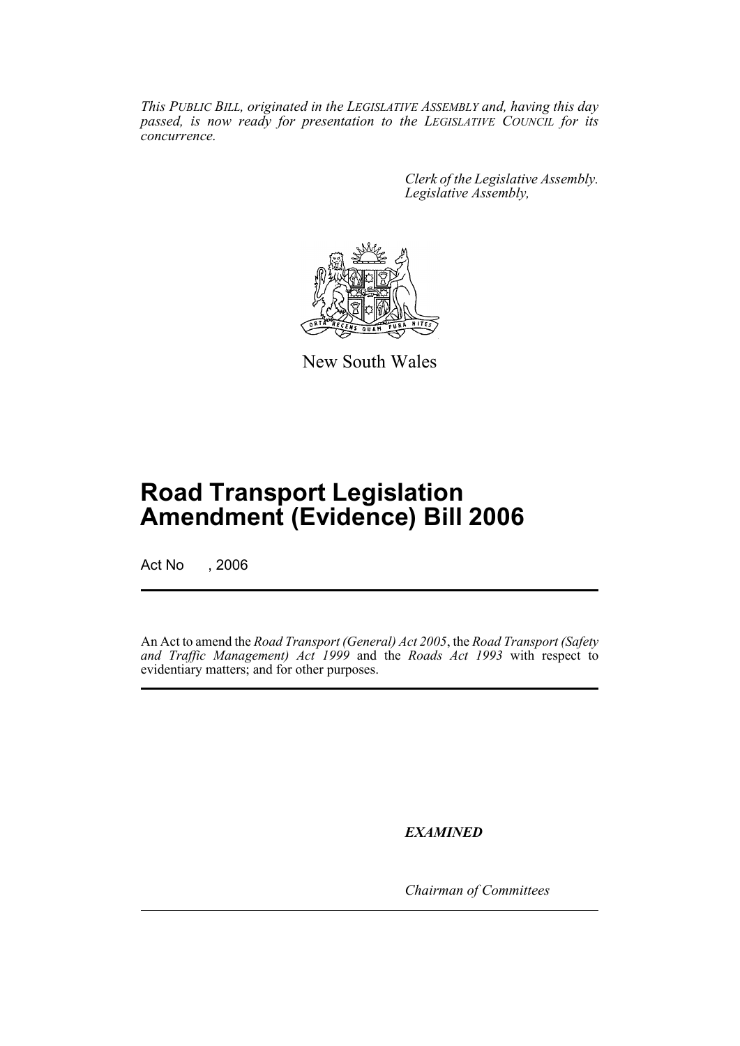*This PUBLIC BILL, originated in the LEGISLATIVE ASSEMBLY and, having this day passed, is now ready for presentation to the LEGISLATIVE COUNCIL for its concurrence.*

> *Clerk of the Legislative Assembly. Legislative Assembly,*



New South Wales

## **Road Transport Legislation Amendment (Evidence) Bill 2006**

Act No , 2006

An Act to amend the *Road Transport (General) Act 2005*, the *Road Transport (Safety and Traffic Management) Act 1999* and the *Roads Act 1993* with respect to evidentiary matters; and for other purposes.

*EXAMINED*

*Chairman of Committees*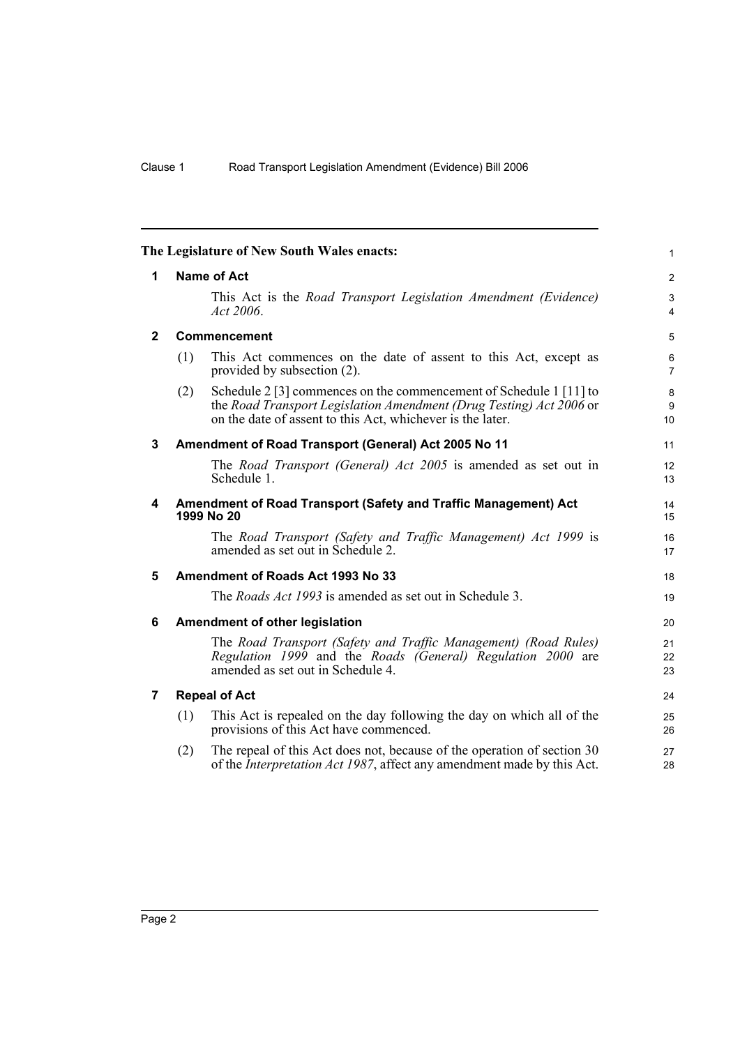|              |                    | The Legislature of New South Wales enacts:                                                                                                                                                              | $\mathbf{1}$        |  |  |  |  |
|--------------|--------------------|---------------------------------------------------------------------------------------------------------------------------------------------------------------------------------------------------------|---------------------|--|--|--|--|
| 1            | <b>Name of Act</b> |                                                                                                                                                                                                         |                     |  |  |  |  |
|              |                    | This Act is the Road Transport Legislation Amendment (Evidence)<br>Act $2006$ .                                                                                                                         | $\mathsf 3$<br>4    |  |  |  |  |
| $\mathbf{2}$ |                    | <b>Commencement</b>                                                                                                                                                                                     | 5                   |  |  |  |  |
|              | (1)                | This Act commences on the date of assent to this Act, except as<br>provided by subsection (2).                                                                                                          | 6<br>$\overline{7}$ |  |  |  |  |
|              | (2)                | Schedule 2 [3] commences on the commencement of Schedule 1 [11] to<br>the Road Transport Legislation Amendment (Drug Testing) Act 2006 or<br>on the date of assent to this Act, whichever is the later. | $\bf 8$<br>9<br>10  |  |  |  |  |
| 3            |                    | Amendment of Road Transport (General) Act 2005 No 11                                                                                                                                                    | 11                  |  |  |  |  |
|              |                    | The <i>Road Transport (General) Act 2005</i> is amended as set out in<br>Schedule 1.                                                                                                                    | 12<br>13            |  |  |  |  |
| 4            |                    | Amendment of Road Transport (Safety and Traffic Management) Act<br>1999 No 20                                                                                                                           | 14<br>15            |  |  |  |  |
|              |                    | The Road Transport (Safety and Traffic Management) Act 1999 is<br>amended as set out in Schedule 2.                                                                                                     | 16<br>17            |  |  |  |  |
| 5            |                    | Amendment of Roads Act 1993 No 33                                                                                                                                                                       | 18                  |  |  |  |  |
|              |                    | The <i>Roads Act 1993</i> is amended as set out in Schedule 3.                                                                                                                                          | 19                  |  |  |  |  |
| 6            |                    | Amendment of other legislation                                                                                                                                                                          | 20                  |  |  |  |  |
|              |                    | The Road Transport (Safety and Traffic Management) (Road Rules)<br>Regulation 1999 and the Roads (General) Regulation 2000 are<br>amended as set out in Schedule 4.                                     | 21<br>22<br>23      |  |  |  |  |
| 7            |                    | <b>Repeal of Act</b>                                                                                                                                                                                    | 24                  |  |  |  |  |
|              | (1)                | This Act is repealed on the day following the day on which all of the<br>provisions of this Act have commenced.                                                                                         | 25<br>26            |  |  |  |  |
|              | (2)                | The repeal of this Act does not, because of the operation of section 30<br>of the <i>Interpretation Act 1987</i> , affect any amendment made by this Act.                                               | 27<br>28            |  |  |  |  |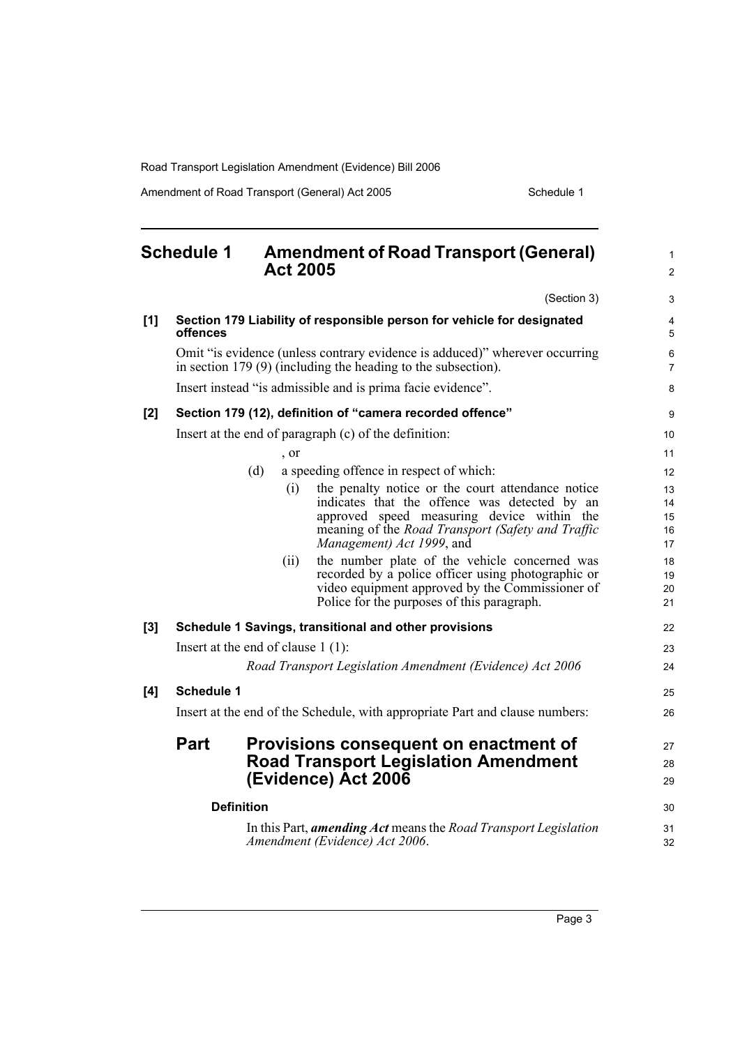Amendment of Road Transport (General) Act 2005 Schedule 1

|       | <b>Schedule 1</b> | <b>Amendment of Road Transport (General)</b><br><b>Act 2005</b>                                                                               | $\mathbf{1}$<br>$\overline{2}$ |
|-------|-------------------|-----------------------------------------------------------------------------------------------------------------------------------------------|--------------------------------|
|       |                   | (Section 3)                                                                                                                                   | 3                              |
| [1]   | offences          | Section 179 Liability of responsible person for vehicle for designated                                                                        | $\overline{4}$<br>5            |
|       |                   | Omit "is evidence (unless contrary evidence is adduced)" wherever occurring<br>in section $179(9)$ (including the heading to the subsection). | 6<br>$\overline{7}$            |
|       |                   | Insert instead "is admissible and is prima facie evidence".                                                                                   | 8                              |
| $[2]$ |                   | Section 179 (12), definition of "camera recorded offence"                                                                                     | 9                              |
|       |                   | Insert at the end of paragraph (c) of the definition:                                                                                         | 10                             |
|       |                   | , or                                                                                                                                          | 11                             |
|       |                   | (d)<br>a speeding offence in respect of which:                                                                                                | 12                             |
|       |                   | the penalty notice or the court attendance notice<br>(i)                                                                                      | 13                             |
|       |                   | indicates that the offence was detected by an                                                                                                 | 14                             |
|       |                   | approved speed measuring device within the                                                                                                    | 15                             |
|       |                   | meaning of the Road Transport (Safety and Traffic<br>Management) Act 1999, and                                                                | 16<br>17                       |
|       |                   | the number plate of the vehicle concerned was<br>(ii)                                                                                         | 18                             |
|       |                   | recorded by a police officer using photographic or                                                                                            | 19                             |
|       |                   | video equipment approved by the Commissioner of                                                                                               | 20                             |
|       |                   | Police for the purposes of this paragraph.                                                                                                    | 21                             |
| $[3]$ |                   | Schedule 1 Savings, transitional and other provisions                                                                                         | 22                             |
|       |                   | Insert at the end of clause $1(1)$ :                                                                                                          | 23                             |
|       |                   | Road Transport Legislation Amendment (Evidence) Act 2006                                                                                      | 24                             |
| [4]   | <b>Schedule 1</b> |                                                                                                                                               | 25                             |
|       |                   | Insert at the end of the Schedule, with appropriate Part and clause numbers:                                                                  | 26                             |
|       | Part              | Provisions consequent on enactment of                                                                                                         | 27                             |
|       |                   | <b>Road Transport Legislation Amendment</b>                                                                                                   | 28                             |
|       |                   | (Evidence) Act 2006                                                                                                                           | 29                             |
|       |                   | <b>Definition</b>                                                                                                                             | 30                             |
|       |                   | In this Part, <i>amending Act</i> means the <i>Road Transport Legislation</i>                                                                 | 31                             |
|       |                   | Amendment (Evidence) Act 2006.                                                                                                                | 32                             |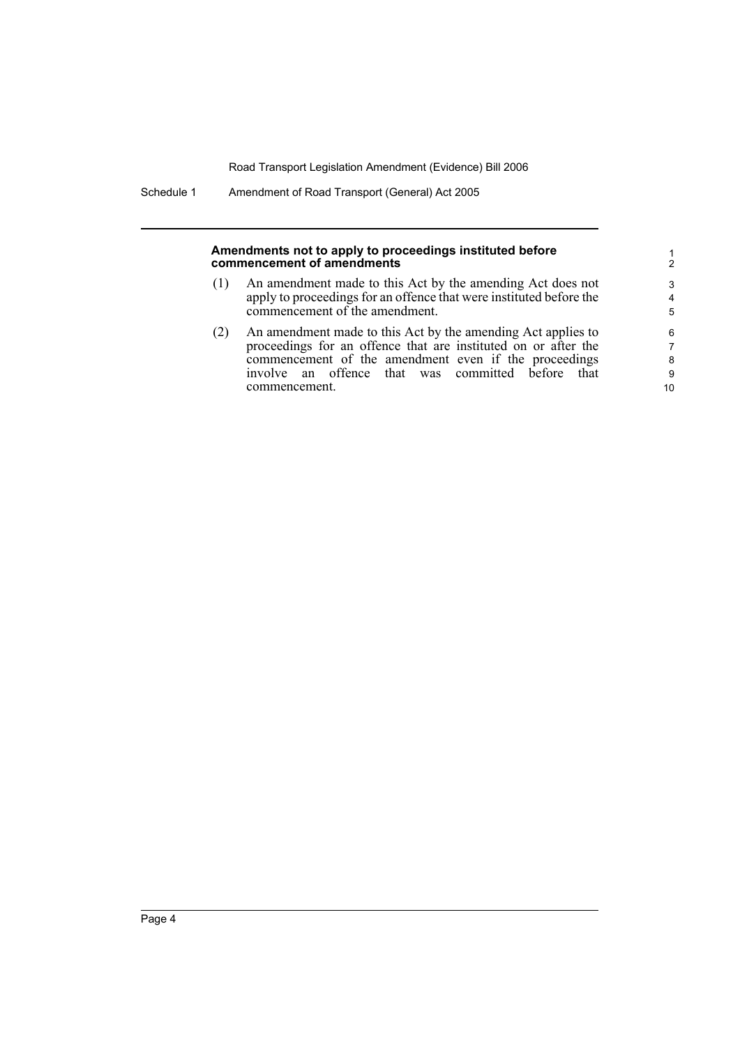Schedule 1 Amendment of Road Transport (General) Act 2005

#### **Amendments not to apply to proceedings instituted before commencement of amendments**

(1) An amendment made to this Act by the amending Act does not apply to proceedings for an offence that were instituted before the commencement of the amendment.

(2) An amendment made to this Act by the amending Act applies to proceedings for an offence that are instituted on or after the commencement of the amendment even if the proceedings involve an offence that was committed before that commencement.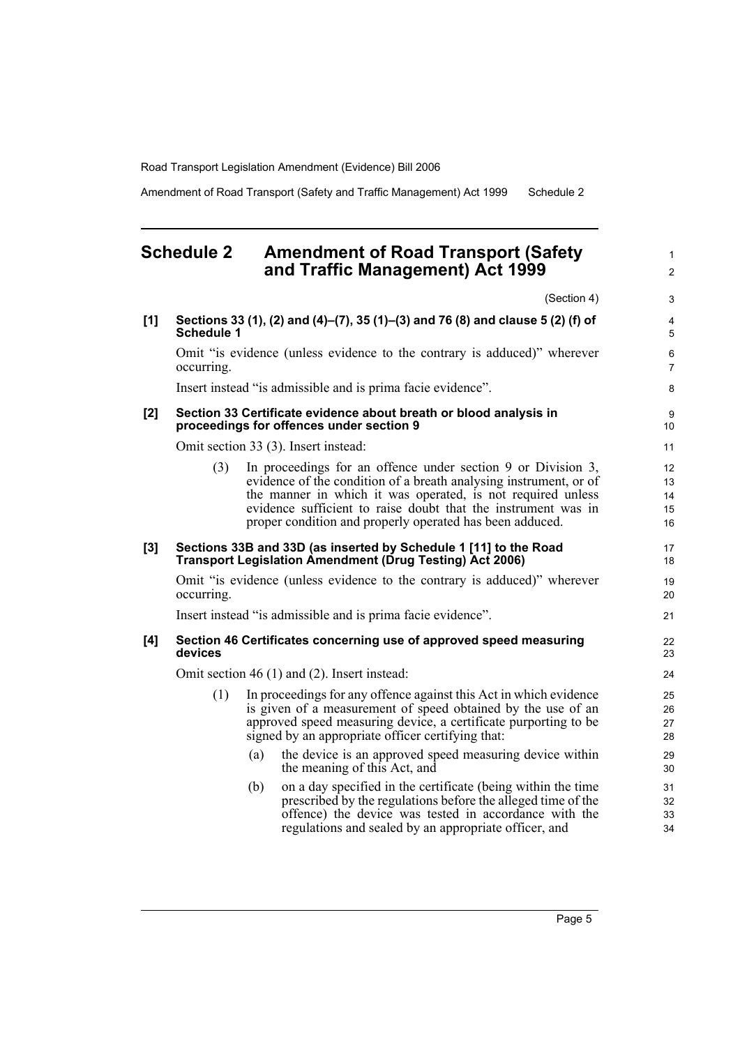Amendment of Road Transport (Safety and Traffic Management) Act 1999 Schedule 2

### **Schedule 2 Amendment of Road Transport (Safety and Traffic Management) Act 1999**

(Section 4) **[1] Sections 33 (1), (2) and (4)–(7), 35 (1)–(3) and 76 (8) and clause 5 (2) (f) of Schedule 1** Omit "is evidence (unless evidence to the contrary is adduced)" wherever occurring. Insert instead "is admissible and is prima facie evidence". **[2] Section 33 Certificate evidence about breath or blood analysis in proceedings for offences under section 9** Omit section 33 (3). Insert instead: (3) In proceedings for an offence under section 9 or Division 3, evidence of the condition of a breath analysing instrument, or of the manner in which it was operated, is not required unless evidence sufficient to raise doubt that the instrument was in proper condition and properly operated has been adduced. **[3] Sections 33B and 33D (as inserted by Schedule 1 [11] to the Road Transport Legislation Amendment (Drug Testing) Act 2006)** Omit "is evidence (unless evidence to the contrary is adduced)" wherever occurring. Insert instead "is admissible and is prima facie evidence". **[4] Section 46 Certificates concerning use of approved speed measuring devices** Omit section 46 (1) and (2). Insert instead: (1) In proceedings for any offence against this Act in which evidence is given of a measurement of speed obtained by the use of an approved speed measuring device, a certificate purporting to be signed by an appropriate officer certifying that: (a) the device is an approved speed measuring device within the meaning of this Act, and (b) on a day specified in the certificate (being within the time prescribed by the regulations before the alleged time of the offence) the device was tested in accordance with the regulations and sealed by an appropriate officer, and  $\mathfrak{p}$ 3 4 5 6 7 8 9 10 11 12 13 14 15 16 17 18 19 20 21 22 23 24 25 26 27 28 29 30 31 32 33 34

1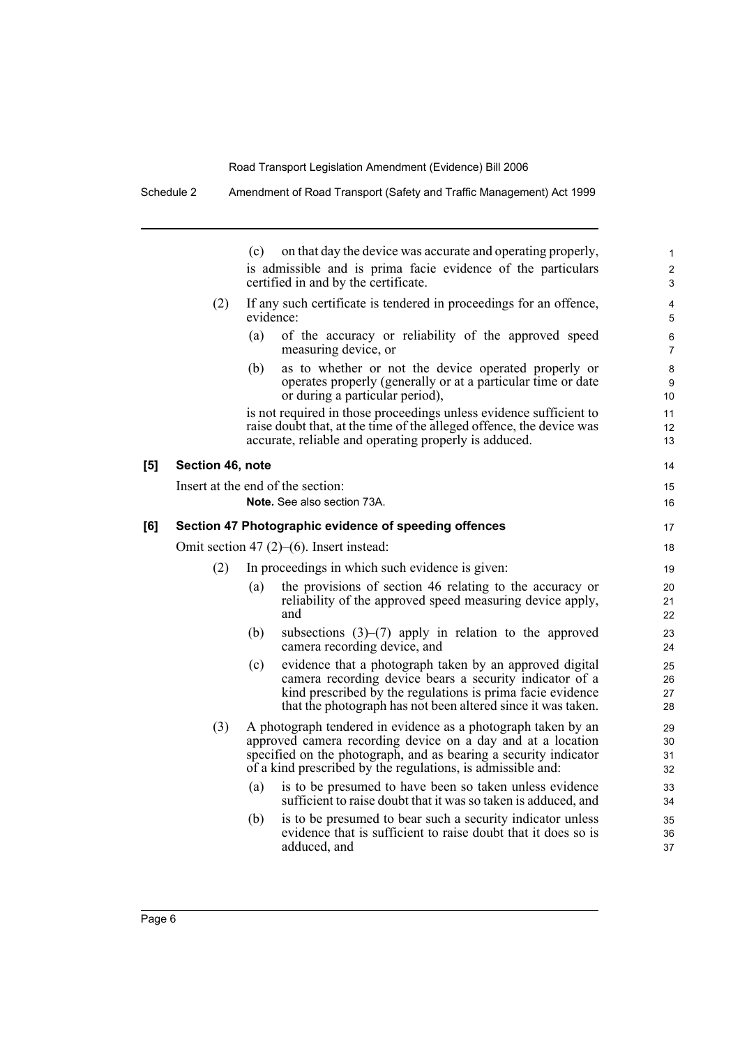(c) on that day the device was accurate and operating properly, is admissible and is prima facie evidence of the particulars certified in and by the certificate. (2) If any such certificate is tendered in proceedings for an offence, evidence: (a) of the accuracy or reliability of the approved speed measuring device, or (b) as to whether or not the device operated properly or operates properly (generally or at a particular time or date or during a particular period), is not required in those proceedings unless evidence sufficient to raise doubt that, at the time of the alleged offence, the device was accurate, reliable and operating properly is adduced. **[5] Section 46, note** Insert at the end of the section: **Note.** See also section 73A. **[6] Section 47 Photographic evidence of speeding offences** Omit section 47 (2)–(6). Insert instead: (2) In proceedings in which such evidence is given: (a) the provisions of section 46 relating to the accuracy or reliability of the approved speed measuring device apply, and (b) subsections (3)–(7) apply in relation to the approved camera recording device, and (c) evidence that a photograph taken by an approved digital camera recording device bears a security indicator of a kind prescribed by the regulations is prima facie evidence that the photograph has not been altered since it was taken. (3) A photograph tendered in evidence as a photograph taken by an approved camera recording device on a day and at a location specified on the photograph, and as bearing a security indicator of a kind prescribed by the regulations, is admissible and: (a) is to be presumed to have been so taken unless evidence sufficient to raise doubt that it was so taken is adduced, and (b) is to be presumed to bear such a security indicator unless evidence that is sufficient to raise doubt that it does so is adduced, and 1  $\overline{2}$ 3 4 5 6 7 8 9 10 11 12 13 14 15 16 17 18 19  $20$ 21 22 23 24 25 26 27 28 29 30 31 32 33 34 35 36 37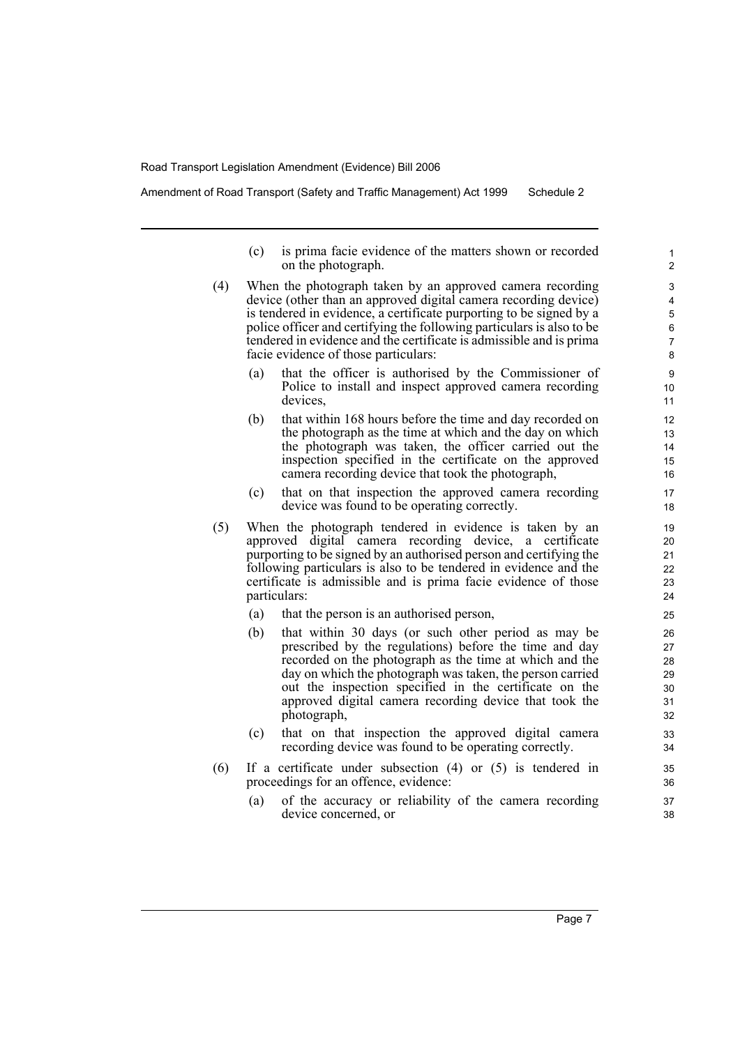Amendment of Road Transport (Safety and Traffic Management) Act 1999 Schedule 2

- (c) is prima facie evidence of the matters shown or recorded on the photograph.
- (4) When the photograph taken by an approved camera recording device (other than an approved digital camera recording device) is tendered in evidence, a certificate purporting to be signed by a police officer and certifying the following particulars is also to be tendered in evidence and the certificate is admissible and is prima facie evidence of those particulars:
	- (a) that the officer is authorised by the Commissioner of Police to install and inspect approved camera recording devices,
	- (b) that within 168 hours before the time and day recorded on the photograph as the time at which and the day on which the photograph was taken, the officer carried out the inspection specified in the certificate on the approved camera recording device that took the photograph,
	- (c) that on that inspection the approved camera recording device was found to be operating correctly.
- (5) When the photograph tendered in evidence is taken by an approved digital camera recording device, a certificate purporting to be signed by an authorised person and certifying the following particulars is also to be tendered in evidence and the certificate is admissible and is prima facie evidence of those particulars:
	- (a) that the person is an authorised person,
	- (b) that within 30 days (or such other period as may be prescribed by the regulations) before the time and day recorded on the photograph as the time at which and the day on which the photograph was taken, the person carried out the inspection specified in the certificate on the approved digital camera recording device that took the photograph,
	- (c) that on that inspection the approved digital camera recording device was found to be operating correctly.
- (6) If a certificate under subsection (4) or (5) is tendered in proceedings for an offence, evidence:
	- (a) of the accuracy or reliability of the camera recording device concerned, or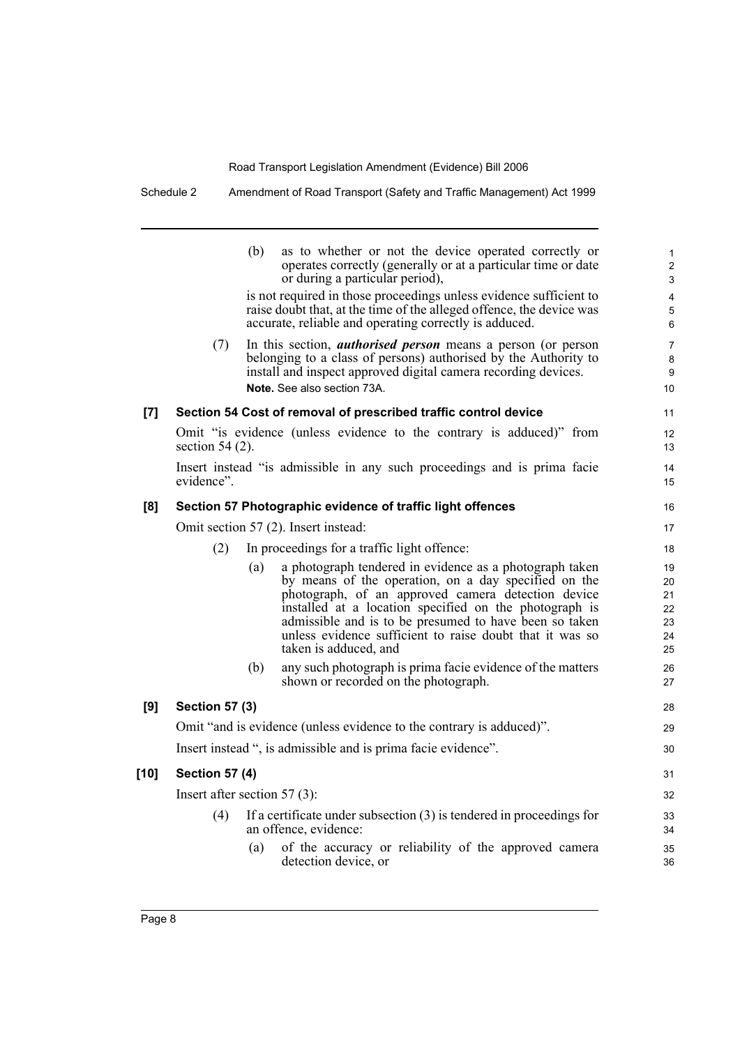Schedule 2 Amendment of Road Transport (Safety and Traffic Management) Act 1999

|       |                                | (b) | as to whether or not the device operated correctly or<br>operates correctly (generally or at a particular time or date<br>or during a particular period),                                                                                                                                                                                                                      | $\mathbf{1}$<br>$\overline{\mathbf{c}}$<br>3 |
|-------|--------------------------------|-----|--------------------------------------------------------------------------------------------------------------------------------------------------------------------------------------------------------------------------------------------------------------------------------------------------------------------------------------------------------------------------------|----------------------------------------------|
|       |                                |     | is not required in those proceedings unless evidence sufficient to<br>raise doubt that, at the time of the alleged offence, the device was<br>accurate, reliable and operating correctly is adduced.                                                                                                                                                                           | $\overline{\mathbf{4}}$<br>$\sqrt{5}$<br>6   |
|       | (7)                            |     | In this section, <i>authorised person</i> means a person (or person<br>belonging to a class of persons) authorised by the Authority to<br>install and inspect approved digital camera recording devices.<br>Note. See also section 73A.                                                                                                                                        | $\overline{7}$<br>8<br>9<br>10               |
| $[7]$ |                                |     | Section 54 Cost of removal of prescribed traffic control device                                                                                                                                                                                                                                                                                                                | 11                                           |
|       | section $54(2)$ .              |     | Omit "is evidence (unless evidence to the contrary is adduced)" from                                                                                                                                                                                                                                                                                                           | 12<br>13                                     |
|       | evidence".                     |     | Insert instead "is admissible in any such proceedings and is prima facie                                                                                                                                                                                                                                                                                                       | 14<br>15                                     |
| [8]   |                                |     | Section 57 Photographic evidence of traffic light offences                                                                                                                                                                                                                                                                                                                     | 16                                           |
|       |                                |     | Omit section 57 (2). Insert instead:                                                                                                                                                                                                                                                                                                                                           | 17                                           |
|       | (2)                            |     | In proceedings for a traffic light offence:                                                                                                                                                                                                                                                                                                                                    | 18                                           |
|       |                                | (a) | a photograph tendered in evidence as a photograph taken<br>by means of the operation, on a day specified on the<br>photograph, of an approved camera detection device<br>installed at a location specified on the photograph is<br>admissible and is to be presumed to have been so taken<br>unless evidence sufficient to raise doubt that it was so<br>taken is adduced, and | 19<br>20<br>21<br>22<br>23<br>24<br>25       |
|       |                                | (b) | any such photograph is prima facie evidence of the matters<br>shown or recorded on the photograph.                                                                                                                                                                                                                                                                             | 26<br>27                                     |
| [9]   | <b>Section 57 (3)</b>          |     |                                                                                                                                                                                                                                                                                                                                                                                | 28                                           |
|       |                                |     | Omit "and is evidence (unless evidence to the contrary is adduced)".                                                                                                                                                                                                                                                                                                           | 29                                           |
|       |                                |     | Insert instead ", is admissible and is prima facie evidence".                                                                                                                                                                                                                                                                                                                  | 30                                           |
| [10]  | <b>Section 57 (4)</b>          |     |                                                                                                                                                                                                                                                                                                                                                                                | 31                                           |
|       | Insert after section $57(3)$ : |     |                                                                                                                                                                                                                                                                                                                                                                                | 32                                           |
|       | (4)                            |     | If a certificate under subsection $(3)$ is tendered in proceedings for<br>an offence, evidence:                                                                                                                                                                                                                                                                                | 33<br>34                                     |
|       |                                | (a) | of the accuracy or reliability of the approved camera<br>detection device, or                                                                                                                                                                                                                                                                                                  | 35<br>36                                     |
|       |                                |     |                                                                                                                                                                                                                                                                                                                                                                                |                                              |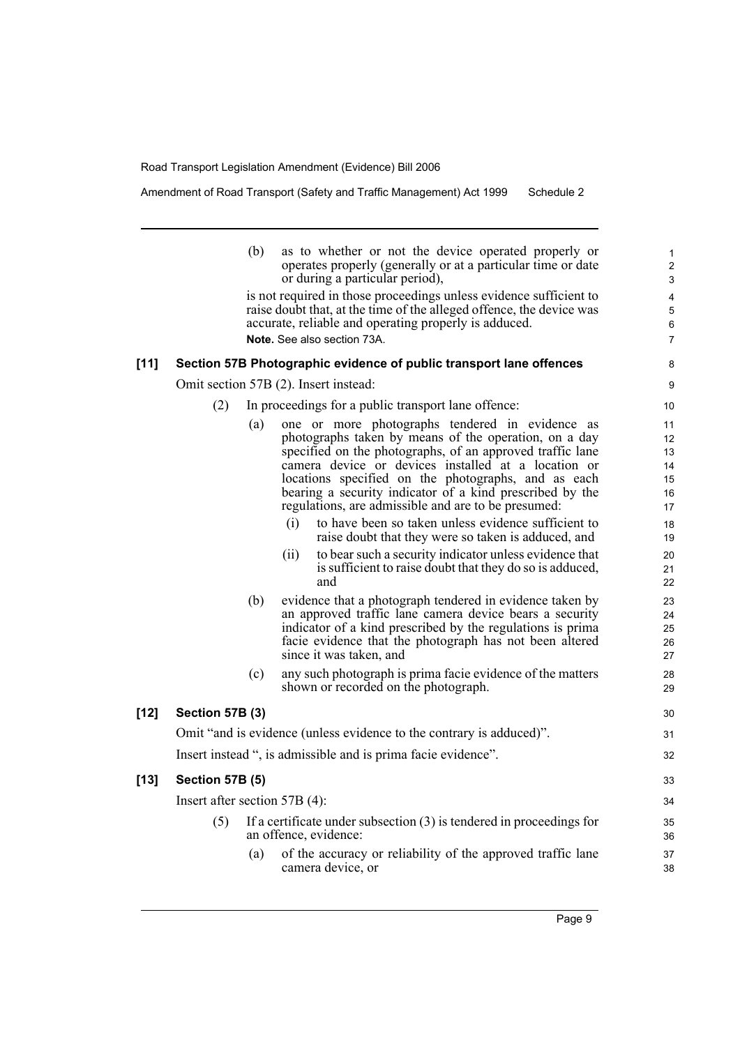**[12] Section 57B (3)**

 $[13]$ 

Amendment of Road Transport (Safety and Traffic Management) Act 1999 Schedule 2

|        |                                       | (b) |      | as to whether or not the device operated properly or<br>operates properly (generally or at a particular time or date<br>or during a particular period),                                                                                                                                                                                                                                                | $\mathbf 1$<br>2<br>$\mathsf 3$                                     |
|--------|---------------------------------------|-----|------|--------------------------------------------------------------------------------------------------------------------------------------------------------------------------------------------------------------------------------------------------------------------------------------------------------------------------------------------------------------------------------------------------------|---------------------------------------------------------------------|
|        |                                       |     |      | is not required in those proceedings unless evidence sufficient to<br>raise doubt that, at the time of the alleged offence, the device was<br>accurate, reliable and operating properly is adduced.<br>Note. See also section 73A.                                                                                                                                                                     | $\overline{\mathbf{4}}$<br>$\mathbf 5$<br>$\,6\,$<br>$\overline{7}$ |
| $[11]$ |                                       |     |      | Section 57B Photographic evidence of public transport lane offences                                                                                                                                                                                                                                                                                                                                    | 8                                                                   |
|        | Omit section 57B (2). Insert instead: |     |      |                                                                                                                                                                                                                                                                                                                                                                                                        | 9                                                                   |
|        | (2)                                   |     |      | In proceedings for a public transport lane offence:                                                                                                                                                                                                                                                                                                                                                    | 10                                                                  |
|        |                                       | (a) |      | one or more photographs tendered in evidence as<br>photographs taken by means of the operation, on a day<br>specified on the photographs, of an approved traffic lane<br>camera device or devices installed at a location or<br>locations specified on the photographs, and as each<br>bearing a security indicator of a kind prescribed by the<br>regulations, are admissible and are to be presumed: | 11<br>12<br>13<br>14<br>15<br>16<br>17                              |
|        |                                       |     | (i)  | to have been so taken unless evidence sufficient to<br>raise doubt that they were so taken is adduced, and                                                                                                                                                                                                                                                                                             | 18<br>19                                                            |
|        |                                       |     | (ii) | to bear such a security indicator unless evidence that<br>is sufficient to raise doubt that they do so is adduced,<br>and                                                                                                                                                                                                                                                                              | 20<br>21<br>22                                                      |
|        |                                       | (b) |      | evidence that a photograph tendered in evidence taken by<br>an approved traffic lane camera device bears a security<br>indicator of a kind prescribed by the regulations is prima<br>facie evidence that the photograph has not been altered<br>since it was taken, and                                                                                                                                | 23<br>24<br>25<br>26<br>27                                          |
|        |                                       | (c) |      | any such photograph is prima facie evidence of the matters<br>shown or recorded on the photograph.                                                                                                                                                                                                                                                                                                     | 28<br>29                                                            |
| [12]   | <b>Section 57B (3)</b>                |     |      |                                                                                                                                                                                                                                                                                                                                                                                                        | 30                                                                  |
|        |                                       |     |      | Omit "and is evidence (unless evidence to the contrary is adduced)".                                                                                                                                                                                                                                                                                                                                   | 31                                                                  |
|        |                                       |     |      | Insert instead ", is admissible and is prima facie evidence".                                                                                                                                                                                                                                                                                                                                          | 32                                                                  |
| [13]   | Section 57B (5)                       |     |      |                                                                                                                                                                                                                                                                                                                                                                                                        | 33                                                                  |
|        | Insert after section $57B(4)$ :       |     |      |                                                                                                                                                                                                                                                                                                                                                                                                        | 34                                                                  |
|        | (5)                                   |     |      | If a certificate under subsection $(3)$ is tendered in proceedings for<br>an offence, evidence:                                                                                                                                                                                                                                                                                                        | 35<br>36                                                            |
|        |                                       | (a) |      | of the accuracy or reliability of the approved traffic lane<br>camera device, or                                                                                                                                                                                                                                                                                                                       | 37<br>38                                                            |
|        |                                       |     |      |                                                                                                                                                                                                                                                                                                                                                                                                        |                                                                     |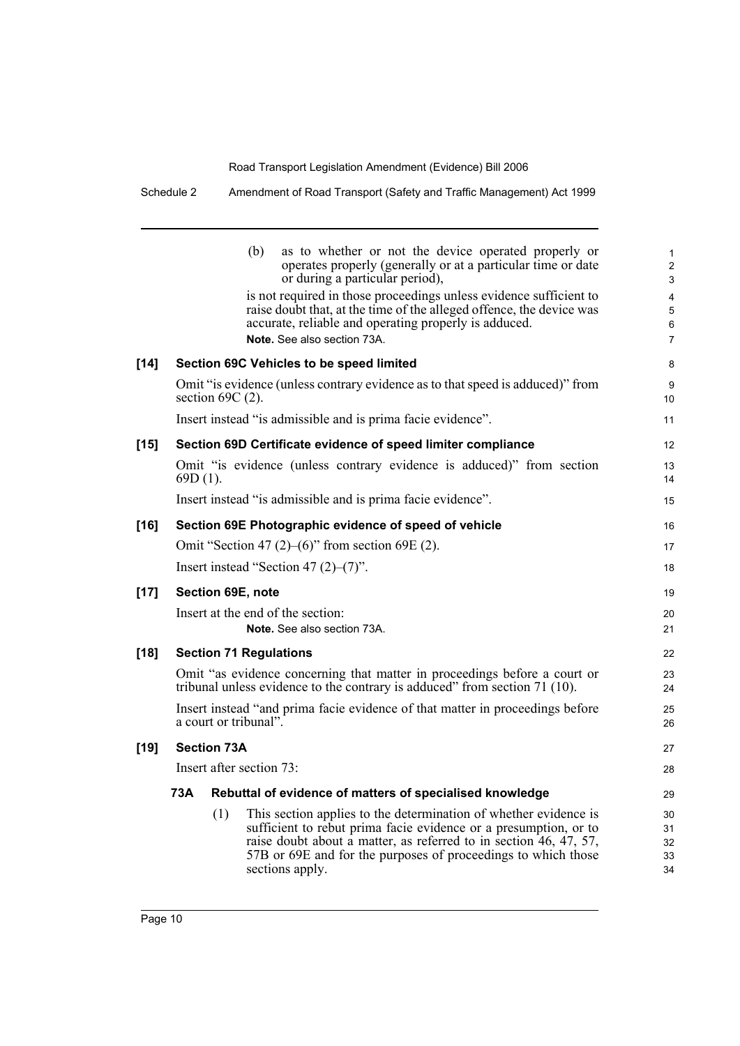|        |            |                    | as to whether or not the device operated properly or<br>(b)<br>operates properly (generally or at a particular time or date<br>or during a particular period),<br>is not required in those proceedings unless evidence sufficient to<br>raise doubt that, at the time of the alleged offence, the device was<br>accurate, reliable and operating properly is adduced.<br>Note. See also section 73A. | $\mathbf{1}$<br>2<br>3<br>$\overline{4}$<br>5<br>$\,6\,$<br>$\overline{7}$ |
|--------|------------|--------------------|------------------------------------------------------------------------------------------------------------------------------------------------------------------------------------------------------------------------------------------------------------------------------------------------------------------------------------------------------------------------------------------------------|----------------------------------------------------------------------------|
| [14]   |            |                    | Section 69C Vehicles to be speed limited                                                                                                                                                                                                                                                                                                                                                             | 8                                                                          |
|        |            | section $69C(2)$ . | Omit "is evidence (unless contrary evidence as to that speed is adduced)" from                                                                                                                                                                                                                                                                                                                       | 9<br>10                                                                    |
|        |            |                    | Insert instead "is admissible and is prima facie evidence".                                                                                                                                                                                                                                                                                                                                          | 11                                                                         |
| [15]   |            |                    | Section 69D Certificate evidence of speed limiter compliance                                                                                                                                                                                                                                                                                                                                         | 12                                                                         |
|        | $69D(1)$ . |                    | Omit "is evidence (unless contrary evidence is adduced)" from section                                                                                                                                                                                                                                                                                                                                | 13<br>14                                                                   |
|        |            |                    | Insert instead "is admissible and is prima facie evidence".                                                                                                                                                                                                                                                                                                                                          | 15                                                                         |
| [16]   |            |                    | Section 69E Photographic evidence of speed of vehicle                                                                                                                                                                                                                                                                                                                                                | 16                                                                         |
|        |            |                    | Omit "Section 47 (2)–(6)" from section 69E (2).                                                                                                                                                                                                                                                                                                                                                      | 17                                                                         |
|        |            |                    | Insert instead "Section 47 $(2)$ – $(7)$ ".                                                                                                                                                                                                                                                                                                                                                          | 18                                                                         |
| $[17]$ |            |                    | Section 69E, note                                                                                                                                                                                                                                                                                                                                                                                    | 19                                                                         |
|        |            |                    | Insert at the end of the section:<br>Note, See also section 73A.                                                                                                                                                                                                                                                                                                                                     | 20<br>21                                                                   |
| [18]   |            |                    | <b>Section 71 Regulations</b>                                                                                                                                                                                                                                                                                                                                                                        | 22                                                                         |
|        |            |                    | Omit "as evidence concerning that matter in proceedings before a court or<br>tribunal unless evidence to the contrary is adduced" from section 71 (10).                                                                                                                                                                                                                                              | 23<br>24                                                                   |
|        |            |                    | Insert instead "and prima facie evidence of that matter in proceedings before<br>a court or tribunal".                                                                                                                                                                                                                                                                                               | 25<br>26                                                                   |
| [19]   |            | <b>Section 73A</b> |                                                                                                                                                                                                                                                                                                                                                                                                      | 27                                                                         |
|        |            |                    | Insert after section 73:                                                                                                                                                                                                                                                                                                                                                                             | 28                                                                         |
|        |            |                    | 73A Rebuttal of evidence of matters of specialised knowledge                                                                                                                                                                                                                                                                                                                                         | 29                                                                         |
|        |            | (1)                | This section applies to the determination of whether evidence is<br>sufficient to rebut prima facie evidence or a presumption, or to<br>raise doubt about a matter, as referred to in section 46, 47, 57,<br>57B or 69E and for the purposes of proceedings to which those<br>sections apply.                                                                                                        | 30<br>31<br>32<br>33<br>34                                                 |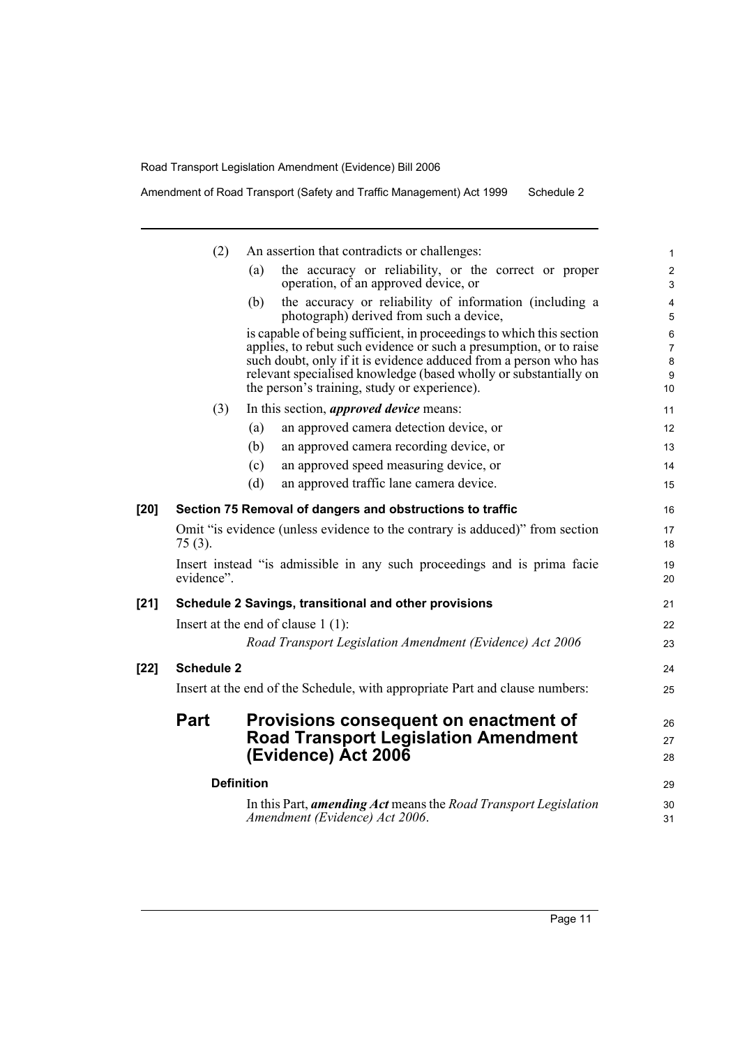Amendment of Road Transport (Safety and Traffic Management) Act 1999 Schedule 2

|        | (2)               | An assertion that contradicts or challenges:                                                                                                                                                                                                                                                                                       |  |
|--------|-------------------|------------------------------------------------------------------------------------------------------------------------------------------------------------------------------------------------------------------------------------------------------------------------------------------------------------------------------------|--|
|        |                   | the accuracy or reliability, or the correct or proper<br>(a)<br>operation, of an approved device, or                                                                                                                                                                                                                               |  |
|        |                   | the accuracy or reliability of information (including a<br>(b)<br>photograph) derived from such a device,                                                                                                                                                                                                                          |  |
|        |                   | is capable of being sufficient, in proceedings to which this section<br>applies, to rebut such evidence or such a presumption, or to raise<br>such doubt, only if it is evidence adduced from a person who has<br>relevant specialised knowledge (based wholly or substantially on<br>the person's training, study or experience). |  |
|        | (3)               | In this section, <i>approved device</i> means:                                                                                                                                                                                                                                                                                     |  |
|        |                   | an approved camera detection device, or<br>(a)                                                                                                                                                                                                                                                                                     |  |
|        |                   | an approved camera recording device, or<br>(b)                                                                                                                                                                                                                                                                                     |  |
|        |                   | an approved speed measuring device, or<br>(c)                                                                                                                                                                                                                                                                                      |  |
|        |                   | (d)<br>an approved traffic lane camera device.                                                                                                                                                                                                                                                                                     |  |
| $[20]$ |                   | Section 75 Removal of dangers and obstructions to traffic                                                                                                                                                                                                                                                                          |  |
|        | 75 (3).           | Omit "is evidence (unless evidence to the contrary is adduced)" from section                                                                                                                                                                                                                                                       |  |
|        | evidence".        | Insert instead "is admissible in any such proceedings and is prima facie                                                                                                                                                                                                                                                           |  |
| $[21]$ |                   | Schedule 2 Savings, transitional and other provisions                                                                                                                                                                                                                                                                              |  |
|        |                   | Insert at the end of clause $1(1)$ :                                                                                                                                                                                                                                                                                               |  |
|        |                   | Road Transport Legislation Amendment (Evidence) Act 2006                                                                                                                                                                                                                                                                           |  |
| $[22]$ | <b>Schedule 2</b> |                                                                                                                                                                                                                                                                                                                                    |  |
|        |                   | Insert at the end of the Schedule, with appropriate Part and clause numbers:                                                                                                                                                                                                                                                       |  |
|        | Part              | Provisions consequent on enactment of                                                                                                                                                                                                                                                                                              |  |
|        |                   | <b>Road Transport Legislation Amendment</b><br>(Evidence) Act 2006                                                                                                                                                                                                                                                                 |  |
|        |                   | <b>Definition</b>                                                                                                                                                                                                                                                                                                                  |  |
|        |                   | In this Part, <i>amending Act</i> means the <i>Road Transport Legislation</i><br>Amendment (Evidence) Act 2006.                                                                                                                                                                                                                    |  |
|        |                   |                                                                                                                                                                                                                                                                                                                                    |  |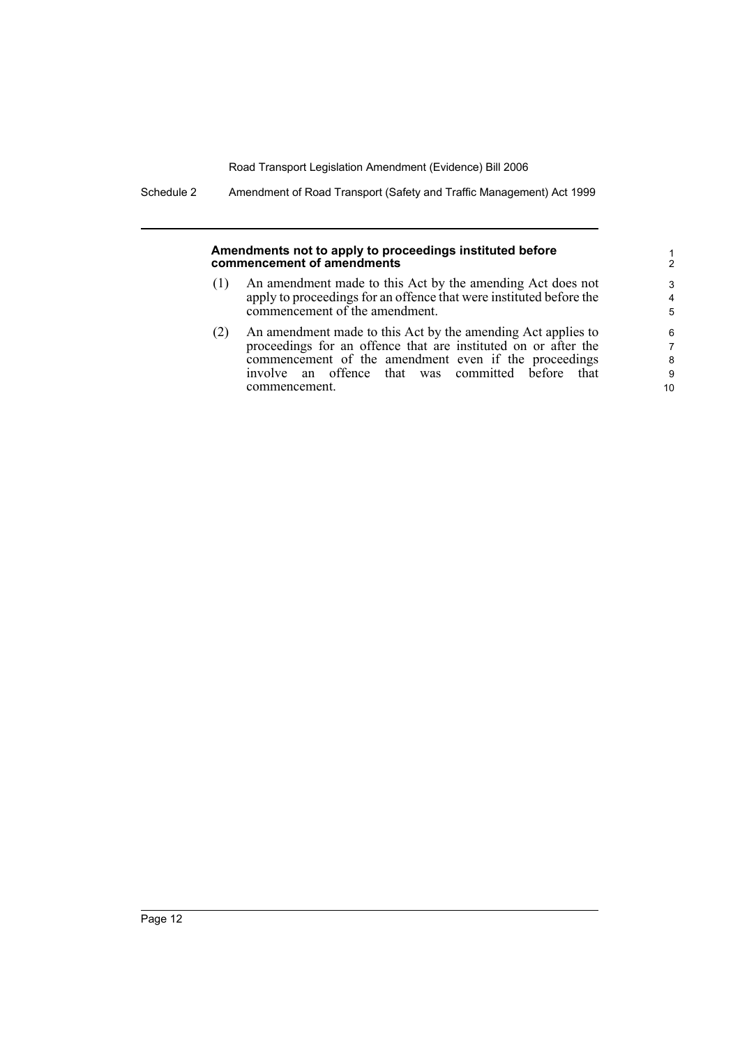Schedule 2 Amendment of Road Transport (Safety and Traffic Management) Act 1999

#### **Amendments not to apply to proceedings instituted before commencement of amendments**

(1) An amendment made to this Act by the amending Act does not apply to proceedings for an offence that were instituted before the commencement of the amendment.

(2) An amendment made to this Act by the amending Act applies to proceedings for an offence that are instituted on or after the commencement of the amendment even if the proceedings involve an offence that was committed before that commencement.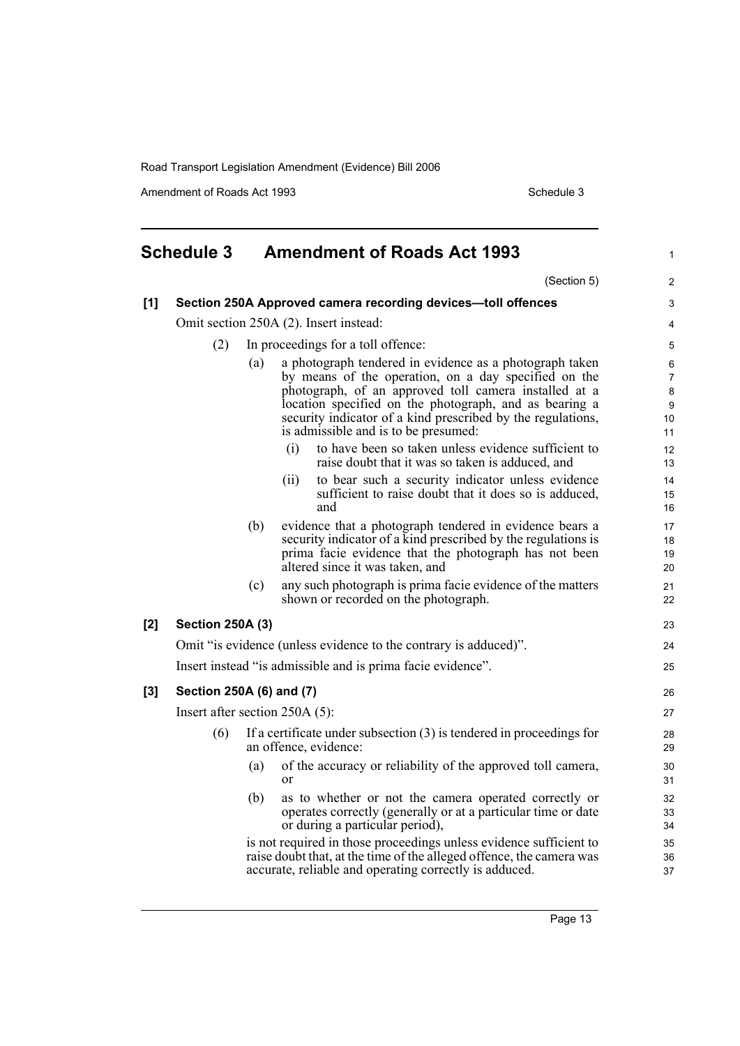Amendment of Roads Act 1993 Schedule 3

| <b>Schedule 3</b> |                                  | <b>Amendment of Roads Act 1993</b>                           |               |                                                                                                                                                                                                                                                                                                                                           | $\mathbf{1}$                              |  |  |
|-------------------|----------------------------------|--------------------------------------------------------------|---------------|-------------------------------------------------------------------------------------------------------------------------------------------------------------------------------------------------------------------------------------------------------------------------------------------------------------------------------------------|-------------------------------------------|--|--|
|                   |                                  |                                                              |               | (Section 5)                                                                                                                                                                                                                                                                                                                               | 2                                         |  |  |
| [1]               |                                  | Section 250A Approved camera recording devices-toll offences |               |                                                                                                                                                                                                                                                                                                                                           |                                           |  |  |
|                   |                                  |                                                              |               | Omit section 250A (2). Insert instead:                                                                                                                                                                                                                                                                                                    | 4                                         |  |  |
|                   | (2)                              |                                                              |               | In proceedings for a toll offence:                                                                                                                                                                                                                                                                                                        | 5                                         |  |  |
|                   |                                  | (a)                                                          |               | a photograph tendered in evidence as a photograph taken<br>by means of the operation, on a day specified on the<br>photograph, of an approved toll camera installed at a<br>location specified on the photograph, and as bearing a<br>security indicator of a kind prescribed by the regulations,<br>is admissible and is to be presumed: | 6<br>$\overline{7}$<br>8<br>9<br>10<br>11 |  |  |
|                   |                                  |                                                              | (i)           | to have been so taken unless evidence sufficient to<br>raise doubt that it was so taken is adduced, and                                                                                                                                                                                                                                   | 12<br>13                                  |  |  |
|                   |                                  |                                                              | (ii)          | to bear such a security indicator unless evidence<br>sufficient to raise doubt that it does so is adduced,<br>and                                                                                                                                                                                                                         | 14<br>15<br>16                            |  |  |
|                   |                                  | (b)                                                          |               | evidence that a photograph tendered in evidence bears a<br>security indicator of a kind prescribed by the regulations is<br>prima facie evidence that the photograph has not been<br>altered since it was taken, and                                                                                                                      | 17<br>18<br>19<br>20                      |  |  |
|                   |                                  | (c)                                                          |               | any such photograph is prima facie evidence of the matters<br>shown or recorded on the photograph.                                                                                                                                                                                                                                        | 21<br>22                                  |  |  |
| [2]               | <b>Section 250A (3)</b>          |                                                              |               |                                                                                                                                                                                                                                                                                                                                           | 23                                        |  |  |
|                   |                                  |                                                              |               | Omit "is evidence (unless evidence to the contrary is adduced)".                                                                                                                                                                                                                                                                          | 24                                        |  |  |
|                   |                                  |                                                              |               | Insert instead "is admissible and is prima facie evidence".                                                                                                                                                                                                                                                                               | 25                                        |  |  |
| [3]               | Section 250A (6) and (7)         |                                                              |               |                                                                                                                                                                                                                                                                                                                                           | 26                                        |  |  |
|                   | Insert after section $250A(5)$ : |                                                              |               |                                                                                                                                                                                                                                                                                                                                           | 27                                        |  |  |
|                   | (6)                              |                                                              |               | If a certificate under subsection (3) is tendered in proceedings for<br>an offence, evidence:                                                                                                                                                                                                                                             | 28<br>29                                  |  |  |
|                   |                                  | (a)                                                          | <sub>or</sub> | of the accuracy or reliability of the approved toll camera,                                                                                                                                                                                                                                                                               | 30<br>31                                  |  |  |
|                   |                                  | (b)                                                          |               | as to whether or not the camera operated correctly or<br>operates correctly (generally or at a particular time or date<br>or during a particular period),                                                                                                                                                                                 | 32<br>33<br>34                            |  |  |
|                   |                                  |                                                              |               | is not required in those proceedings unless evidence sufficient to<br>raise doubt that, at the time of the alleged offence, the camera was<br>accurate, reliable and operating correctly is adduced.                                                                                                                                      | 35<br>36<br>37                            |  |  |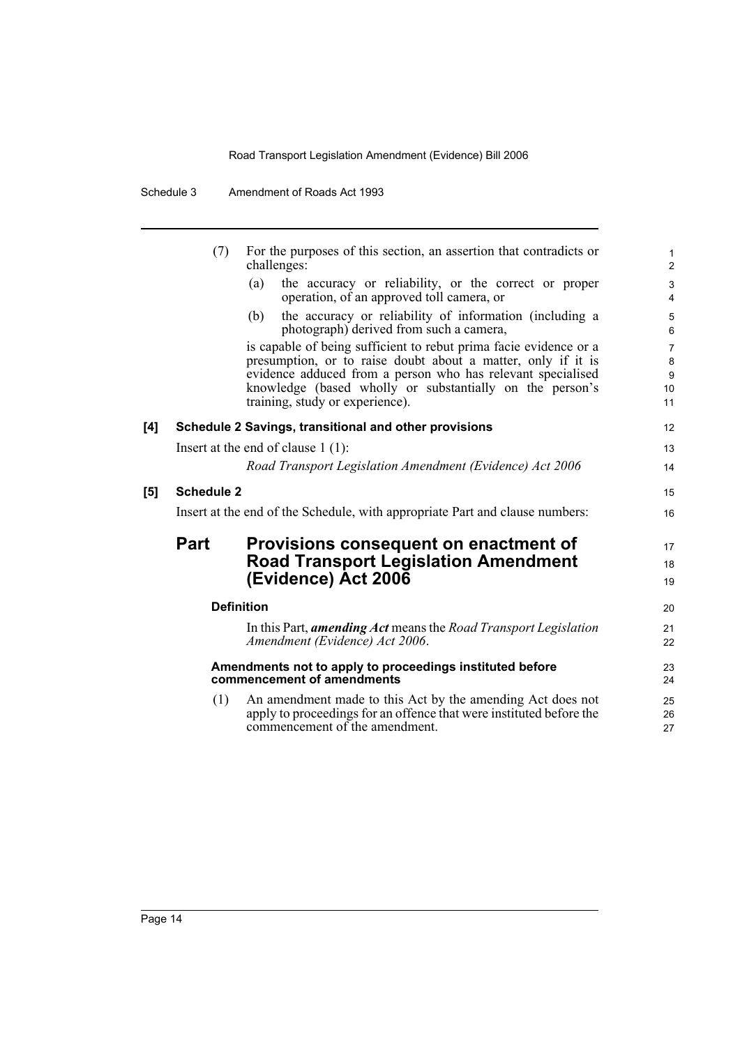Schedule 3 Amendment of Roads Act 1993

|     | (7)                                         | For the purposes of this section, an assertion that contradicts or<br>challenges:                                                                                   | 1<br>$\overline{2}$ |
|-----|---------------------------------------------|---------------------------------------------------------------------------------------------------------------------------------------------------------------------|---------------------|
|     |                                             | the accuracy or reliability, or the correct or proper<br>(a)<br>operation, of an approved toll camera, or                                                           | 3<br>4              |
|     |                                             | the accuracy or reliability of information (including a<br>(b)<br>photograph) derived from such a camera,                                                           | 5<br>6              |
|     |                                             | is capable of being sufficient to rebut prima facie evidence or a<br>presumption, or to raise doubt about a matter, only if it is                                   | 7<br>8              |
|     |                                             | evidence adduced from a person who has relevant specialised<br>knowledge (based wholly or substantially on the person's<br>training, study or experience).          | 9<br>10<br>11       |
| [4] |                                             | Schedule 2 Savings, transitional and other provisions                                                                                                               | 12                  |
|     |                                             | Insert at the end of clause $1(1)$ :                                                                                                                                | 13                  |
|     |                                             | Road Transport Legislation Amendment (Evidence) Act 2006                                                                                                            | 14                  |
| [5] | <b>Schedule 2</b>                           |                                                                                                                                                                     | 15                  |
|     |                                             | Insert at the end of the Schedule, with appropriate Part and clause numbers:                                                                                        | 16                  |
|     | <b>Part</b>                                 | Provisions consequent on enactment of                                                                                                                               | 17                  |
|     | <b>Road Transport Legislation Amendment</b> |                                                                                                                                                                     | 18                  |
|     |                                             | (Evidence) Act 2006                                                                                                                                                 | 19                  |
|     |                                             | <b>Definition</b>                                                                                                                                                   | 20                  |
|     |                                             | In this Part, <i>amending Act</i> means the <i>Road Transport Legislation</i><br>Amendment (Evidence) Act 2006.                                                     | 21<br>22            |
|     |                                             | Amendments not to apply to proceedings instituted before<br>commencement of amendments                                                                              | 23<br>24            |
|     | (1)                                         | An amendment made to this Act by the amending Act does not<br>apply to proceedings for an offence that were instituted before the<br>commencement of the amendment. | 25<br>26<br>27      |
|     |                                             |                                                                                                                                                                     |                     |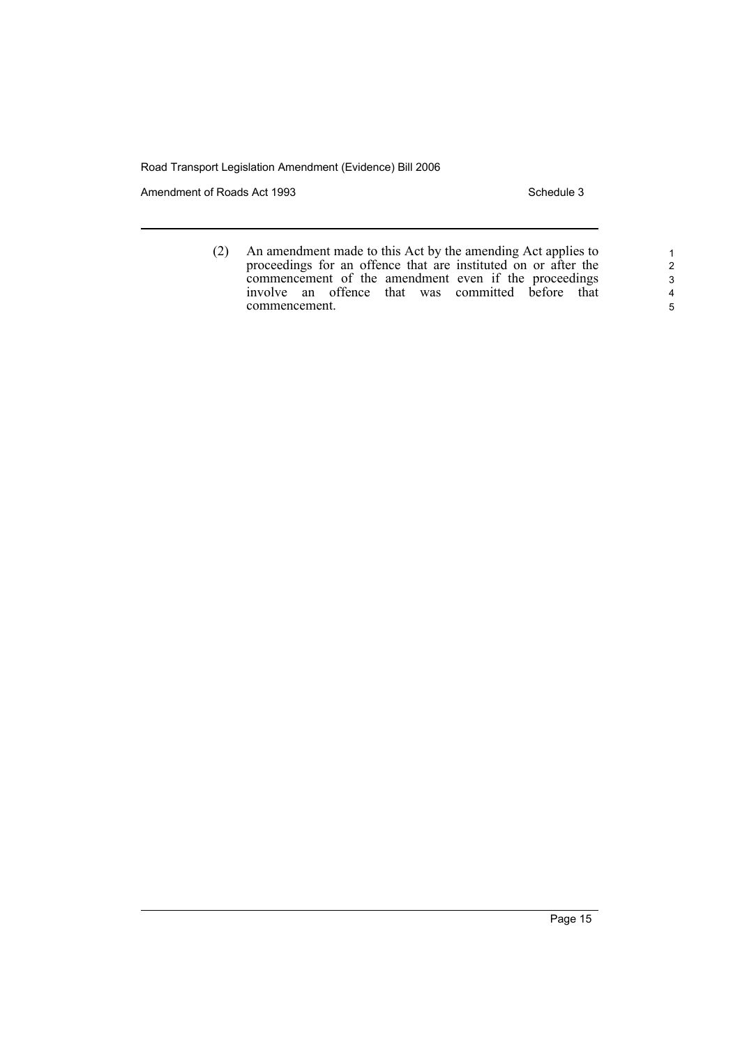Amendment of Roads Act 1993 Schedule 3

(2) An amendment made to this Act by the amending Act applies to proceedings for an offence that are instituted on or after the commencement of the amendment even if the proceedings involve an offence that was committed before that commencement.